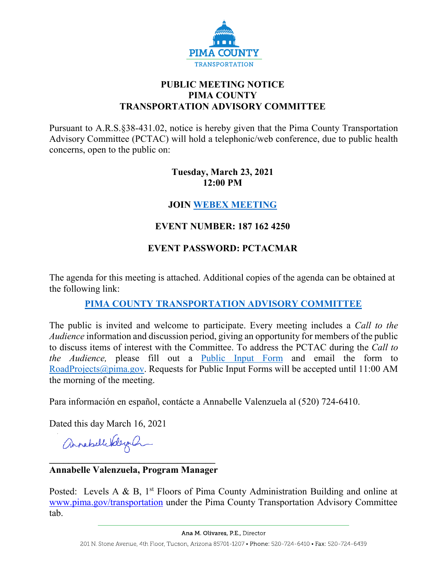

# **PUBLIC MEETING NOTICE PIMA COUNTY TRANSPORTATION ADVISORY COMMITTEE**

Pursuant to A.R.S.§38-431.02, notice is hereby given that the Pima County Transportation Advisory Committee (PCTAC) will hold a telephonic/web conference, due to public health concerns, open to the public on:

### **Tuesday, March 23, 2021 12:00 PM**

# **JOIN [WEBEX MEETING](https://pimacounty.webex.com/mw3300/mywebex/default.do?siteurl=pimacounty&service=6)**

# **EVENT NUMBER: 187 162 4250**

# **EVENT PASSWORD: PCTACMAR**

The agenda for this meeting is attached. Additional copies of the agenda can be obtained at the following link:

# **[PIMA COUNTY TRANSPORTATION ADVISORY COMMITTEE](https://webcms.pima.gov/cms/One.aspx?portalId=169&pageId=355530)**

The public is invited and welcome to participate. Every meeting includes a *Call to the Audience* information and discussion period, giving an opportunity for members of the public to discuss items of interest with the Committee. To address the PCTAC during the *Call to the Audience,* please fill out a [Public Input Form](https://webcms.pima.gov/UserFiles/Servers/Server_6/File/Government/Transportation/TransportationAdvisoryCommittee/WEBEX/PCTAC_Speaker_Card.pdf) and email the form to [RoadProjects@pima.gov.](mailto:RoadProjects@pima.gov) Requests for Public Input Forms will be accepted until 11:00 AM the morning of the meeting.

Para información en español, contácte a Annabelle Valenzuela al (520) 724-6410.

Dated this day March 16, 2021

annabellikleyah

#### **\_\_\_\_\_\_\_\_\_\_\_\_\_\_\_\_\_\_\_\_\_\_\_\_\_\_\_\_\_\_\_\_\_\_\_ Annabelle Valenzuela, Program Manager**

Posted: Levels A & B,  $1<sup>st</sup>$  Floors of Pima County Administration Building and online at [www.pima.gov/transportation](http://www.pima.gov/transportation) under the Pima County Transportation Advisory Committee tab.